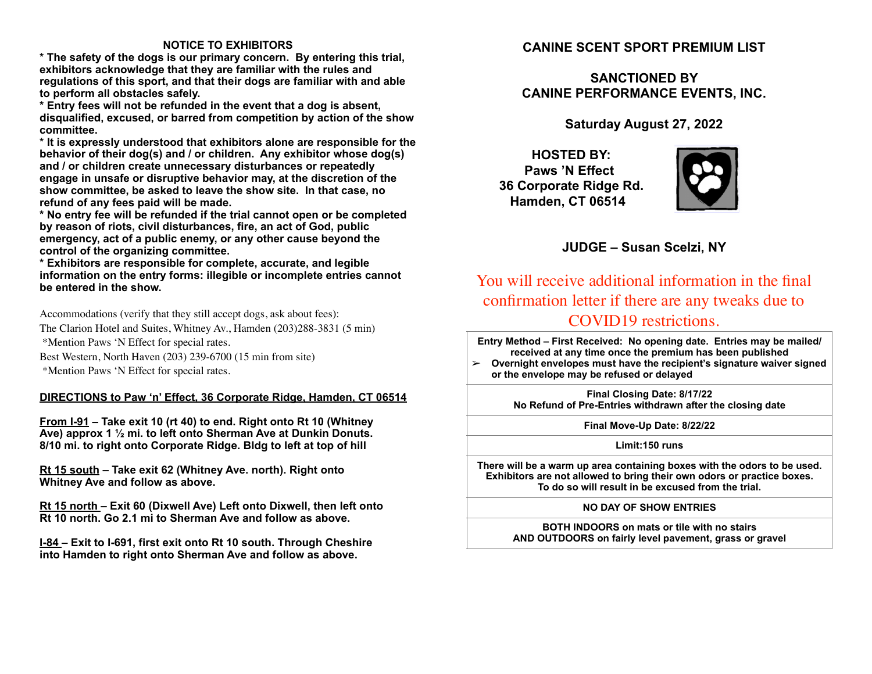### **NOTICE TO EXHIBITORS**

**\* The safety of the dogs is our primary concern. By entering this trial, exhibitors acknowledge that they are familiar with the rules and regulations of this sport, and that their dogs are familiar with and able to perform all obstacles safely.**

**\* Entry fees will not be refunded in the event that a dog is absent, disqualified, excused, or barred from competition by action of the show committee.** 

**\* It is expressly understood that exhibitors alone are responsible for the behavior of their dog(s) and / or children. Any exhibitor whose dog(s) and / or children create unnecessary disturbances or repeatedly engage in unsafe or disruptive behavior may, at the discretion of the show committee, be asked to leave the show site. In that case, no refund of any fees paid will be made.**

**\* No entry fee will be refunded if the trial cannot open or be completed by reason of riots, civil disturbances, fire, an act of God, public emergency, act of a public enemy, or any other cause beyond the control of the organizing committee.**

**\* Exhibitors are responsible for complete, accurate, and legible information on the entry forms: illegible or incomplete entries cannot be entered in the show.**

Accommodations (verify that they still accept dogs, ask about fees):

The Clarion Hotel and Suites, Whitney Av., Hamden (203)288-3831 (5 min) \*Mention Paws 'N Effect for special rates.

Best Western, North Haven (203) 239-6700 (15 min from site) \*Mention Paws 'N Effect for special rates.

### **DIRECTIONS to Paw 'n' Effect, 36 Corporate Ridge, Hamden, CT 06514**

**From I-91 – Take exit 10 (rt 40) to end. Right onto Rt 10 (Whitney Ave) approx 1 ½ mi. to left onto Sherman Ave at Dunkin Donuts. 8/10 mi. to right onto Corporate Ridge. Bldg to left at top of hill**

**Rt 15 south – Take exit 62 (Whitney Ave. north). Right onto Whitney Ave and follow as above.**

**Rt 15 north – Exit 60 (Dixwell Ave) Left onto Dixwell, then left onto Rt 10 north. Go 2.1 mi to Sherman Ave and follow as above.**

**I-84 – Exit to I-691, first exit onto Rt 10 south. Through Cheshire into Hamden to right onto Sherman Ave and follow as above.**

## **CANINE SCENT SPORT PREMIUM LIST**

# **SANCTIONED BY CANINE PERFORMANCE EVENTS, INC.**

**Saturday August 27, 2022**

 **HOSTED BY: Paws 'N Effect 36 Corporate Ridge Rd. Hamden, CT 06514**



## **JUDGE – Susan Scelzi, NY**

You will receive additional information in the final confirmation letter if there are any tweaks due to COVID19 restrictions.

**Entry Method – First Received: No opening date. Entries may be mailed/ received at any time once the premium has been published**

➢ **Overnight envelopes must have the recipient's signature waiver signed or the envelope may be refused or delayed**

> **Final Closing Date: 8/17/22 No Refund of Pre-Entries withdrawn after the closing date**

> > **Final Move-Up Date: 8/22/22**

#### **Limit:150 runs**

**There will be a warm up area containing boxes with the odors to be used. Exhibitors are not allowed to bring their own odors or practice boxes. To do so will result in be excused from the trial.**

#### **NO DAY OF SHOW ENTRIES**

**BOTH INDOORS on mats or tile with no stairs AND OUTDOORS on fairly level pavement, grass or gravel**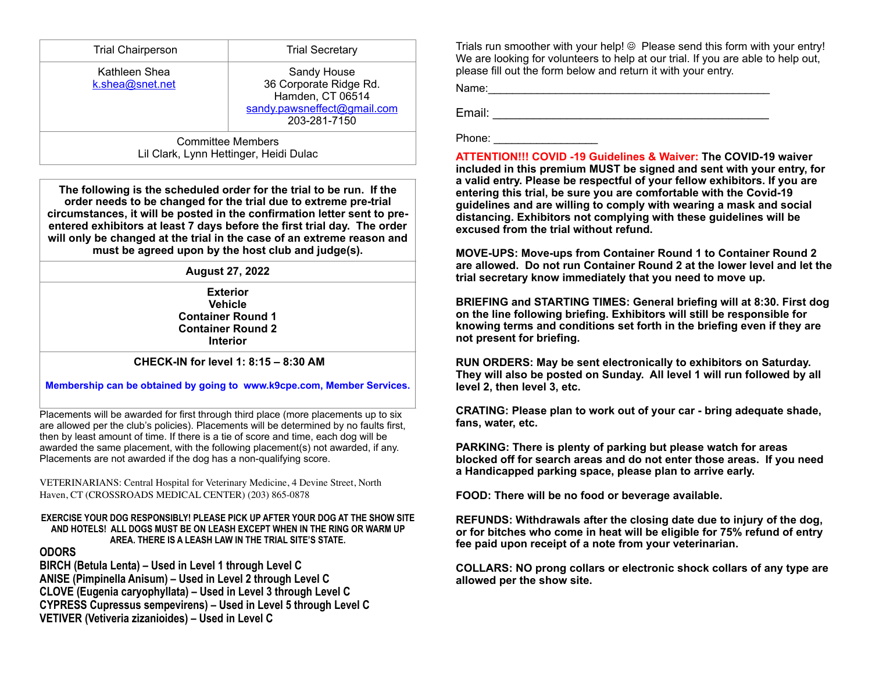| <b>Trial Chairperson</b>         | <b>Trial Secretary</b>                                                                                   |
|----------------------------------|----------------------------------------------------------------------------------------------------------|
| Kathleen Shea<br>k.shea@snet.net | Sandy House<br>36 Corporate Ridge Rd.<br>Hamden, CT 06514<br>sandy.pawsneffect@gmail.com<br>203-281-7150 |
|                                  | <b>Committee Members</b><br>Lil Clark, Lynn Hettinger, Heidi Dulac                                       |

**The following is the scheduled order for the trial to be run. If the order needs to be changed for the trial due to extreme pre-trial circumstances, it will be posted in the confirmation letter sent to preentered exhibitors at least 7 days before the first trial day. The order will only be changed at the trial in the case of an extreme reason and must be agreed upon by the host club and judge(s).**

### **August 27, 2022**

**Exterior Vehicle Container Round 1 Container Round 2 Interior**

### **CHECK-IN for level 1: 8:15 – 8:30 AM**

**Membership can be obtained by going to www.k9cpe.com, Member Services.**

Placements will be awarded for first through third place (more placements up to six are allowed per the club's policies). Placements will be determined by no faults first, then by least amount of time. If there is a tie of score and time, each dog will be awarded the same placement, with the following placement(s) not awarded, if any. Placements are not awarded if the dog has a non-qualifying score.

VETERINARIANS: Central Hospital for Veterinary Medicine, 4 Devine Street, North Haven, CT (CROSSROADS MEDICAL CENTER) (203) 865-0878

#### **EXERCISE YOUR DOG RESPONSIBLY! PLEASE PICK UP AFTER YOUR DOG AT THE SHOW SITE AND HOTELS! ALL DOGS MUST BE ON LEASH EXCEPT WHEN IN THE RING OR WARM UP AREA. THERE IS A LEASH LAW IN THE TRIAL SITE'S STATE.**

### **ODORS**

**BIRCH (Betula Lenta) – Used in Level 1 through Level C ANISE (Pimpinella Anisum) – Used in Level 2 through Level C CLOVE (Eugenia caryophyllata) – Used in Level 3 through Level C CYPRESS Cupressus sempevirens) – Used in Level 5 through Level C VETIVER (Vetiveria zizanioides) – Used in Level C**

Trials run smoother with your help! ☺ Please send this form with your entry! We are looking for volunteers to help at our trial. If you are able to help out, please fill out the form below and return it with your entry.

Name:\_\_\_\_\_\_\_\_\_\_\_\_\_\_\_\_\_\_\_\_\_\_\_\_\_\_\_\_\_\_\_\_\_\_\_\_\_\_\_\_\_\_\_\_\_\_

Email: \_\_\_\_\_\_\_\_\_\_\_\_\_\_\_\_\_\_\_\_\_\_\_\_\_\_\_\_\_\_\_\_\_\_\_\_\_\_\_\_\_

#### Phone:  $\blacksquare$

**ATTENTION!!! COVID -19 Guidelines & Waiver: The COVID-19 waiver included in this premium MUST be signed and sent with your entry, for a valid entry. Please be respectful of your fellow exhibitors. If you are entering this trial, be sure you are comfortable with the Covid-19 guidelines and are willing to comply with wearing a mask and social distancing. Exhibitors not complying with these guidelines will be excused from the trial without refund.**

**MOVE-UPS: Move-ups from Container Round 1 to Container Round 2 are allowed. Do not run Container Round 2 at the lower level and let the trial secretary know immediately that you need to move up.**

**BRIEFING and STARTING TIMES: General briefing will at 8:30. First dog on the line following briefing. Exhibitors will still be responsible for knowing terms and conditions set forth in the briefing even if they are not present for briefing.**

**RUN ORDERS: May be sent electronically to exhibitors on Saturday. They will also be posted on Sunday. All level 1 will run followed by all level 2, then level 3, etc.**

**CRATING: Please plan to work out of your car - bring adequate shade, fans, water, etc.**

**PARKING: There is plenty of parking but please watch for areas blocked off for search areas and do not enter those areas. If you need a Handicapped parking space, please plan to arrive early.**

**FOOD: There will be no food or beverage available.**

**REFUNDS: Withdrawals after the closing date due to injury of the dog, or for bitches who come in heat will be eligible for 75% refund of entry fee paid upon receipt of a note from your veterinarian.**

**COLLARS: NO prong collars or electronic shock collars of any type are allowed per the show site.**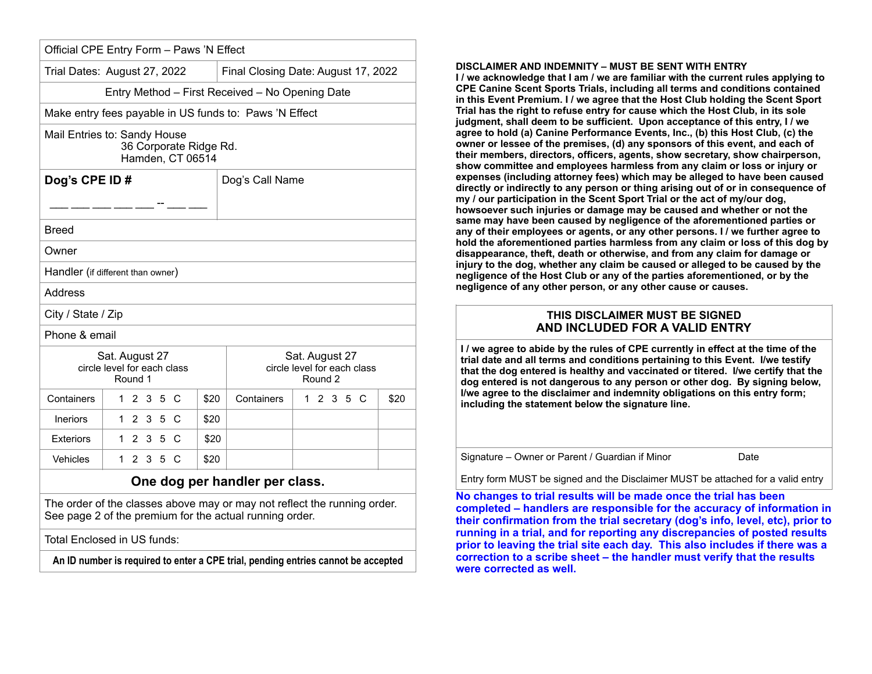| Trial Dates: August 27, 2022                             |           |  |  |                                            | Final Closing Date: August 17, 2022                                 |  |  |  |           |  |      |
|----------------------------------------------------------|-----------|--|--|--------------------------------------------|---------------------------------------------------------------------|--|--|--|-----------|--|------|
|                                                          |           |  |  |                                            | Entry Method - First Received - No Opening Date                     |  |  |  |           |  |      |
|                                                          |           |  |  |                                            | Make entry fees payable in US funds to: Paws 'N Effect              |  |  |  |           |  |      |
| Mail Entries to: Sandy House                             |           |  |  | 36 Corporate Ridge Rd.<br>Hamden, CT 06514 |                                                                     |  |  |  |           |  |      |
| Dog's CPE ID#<br>____ ___ ___ ___ --                     |           |  |  |                                            | Dog's Call Name                                                     |  |  |  |           |  |      |
| Breed                                                    |           |  |  |                                            |                                                                     |  |  |  |           |  |      |
| Owner                                                    |           |  |  |                                            |                                                                     |  |  |  |           |  |      |
| Handler (if different than owner)                        |           |  |  |                                            |                                                                     |  |  |  |           |  |      |
| Address                                                  |           |  |  |                                            |                                                                     |  |  |  |           |  |      |
| City / State / Zip                                       |           |  |  |                                            |                                                                     |  |  |  |           |  |      |
| Phone & email                                            |           |  |  |                                            |                                                                     |  |  |  |           |  |      |
| Sat. August 27<br>circle level for each class<br>Round 1 |           |  |  |                                            | Sat. August 27<br>circle level for each class<br>Round <sub>2</sub> |  |  |  |           |  |      |
| Containers                                               | 1 2 3 5 C |  |  | \$20                                       | Containers                                                          |  |  |  | 1 2 3 5 C |  | \$20 |
| <b>Ineriors</b>                                          | 1 2 3 5 C |  |  | \$20                                       |                                                                     |  |  |  |           |  |      |
| <b>Exteriors</b>                                         | 1235C     |  |  | \$20                                       |                                                                     |  |  |  |           |  |      |
| Vehicles                                                 | 1 2 3 5 C |  |  | \$20                                       |                                                                     |  |  |  |           |  |      |
|                                                          |           |  |  |                                            | One dog per handler per class.                                      |  |  |  |           |  |      |

Total Enclosed in US funds:

**An ID number is required to enter a CPE trial, pending entries cannot be accepted**

#### **DISCLAIMER AND INDEMNITY – MUST BE SENT WITH ENTRY**

**I / we acknowledge that I am / we are familiar with the current rules applying to CPE Canine Scent Sports Trials, including all terms and conditions contained in this Event Premium. I / we agree that the Host Club holding the Scent Sport Trial has the right to refuse entry for cause which the Host Club, in its sole judgment, shall deem to be sufficient. Upon acceptance of this entry, I / we agree to hold (a) Canine Performance Events, Inc., (b) this Host Club, (c) the owner or lessee of the premises, (d) any sponsors of this event, and each of their members, directors, officers, agents, show secretary, show chairperson, show committee and employees harmless from any claim or loss or injury or expenses (including attorney fees) which may be alleged to have been caused directly or indirectly to any person or thing arising out of or in consequence of my / our participation in the Scent Sport Trial or the act of my/our dog, howsoever such injuries or damage may be caused and whether or not the same may have been caused by negligence of the aforementioned parties or any of their employees or agents, or any other persons. I / we further agree to hold the aforementioned parties harmless from any claim or loss of this dog by disappearance, theft, death or otherwise, and from any claim for damage or injury to the dog, whether any claim be caused or alleged to be caused by the negligence of the Host Club or any of the parties aforementioned, or by the negligence of any other person, or any other cause or causes.** 

## **THIS DISCLAIMER MUST BE SIGNED AND INCLUDED FOR A VALID ENTRY**

**I / we agree to abide by the rules of CPE currently in effect at the time of the trial date and all terms and conditions pertaining to this Event. I/we testify that the dog entered is healthy and vaccinated or titered. I/we certify that the dog entered is not dangerous to any person or other dog. By signing below, I/we agree to the disclaimer and indemnity obligations on this entry form; including the statement below the signature line.**

Signature – Owner or Parent / Guardian if Minor Date

Entry form MUST be signed and the Disclaimer MUST be attached for a valid entry

**No changes to trial results will be made once the trial has been completed – handlers are responsible for the accuracy of information in their confirmation from the trial secretary (dog's info, level, etc), prior to running in a trial, and for reporting any discrepancies of posted results prior to leaving the trial site each day. This also includes if there was a correction to a scribe sheet – the handler must verify that the results were corrected as well.**